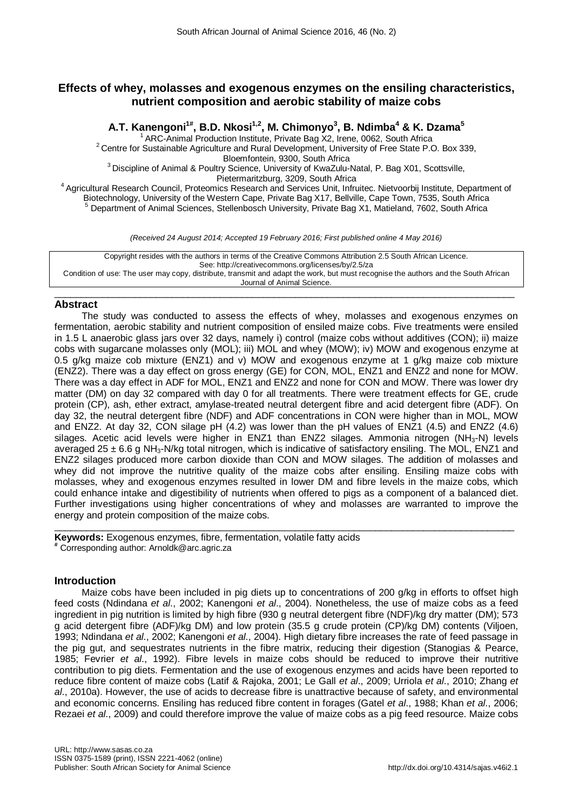# **Effects of whey, molasses and exogenous enzymes on the ensiling characteristics, nutrient composition and aerobic stability of maize cobs**

**A.T. Kanengoni1# , B.D. Nkosi1,2, M. Chimonyo3 , B. Ndimba<sup>4</sup> & K. Dzama<sup>5</sup>**

<sup>1</sup> ARC-Animal Production Institute, Private Bag X2, Irene, 0062, South Africa<br><sup>2</sup> Centre for Sustainable Agriculture and Rural Development, University of Free State P.O. Box 339,<br>Bloemfontein, 9300, South Africa

<sup>3</sup> Discipline of Animal & Poultry Science, University of KwaZulu-Natal, P. Bag X01, Scottsville,<br>Pietermaritzburg, 3209, South Africa

<sup>4</sup> Agricultural Research Council, Proteomics Research and Services Unit, Infruitec. Nietvoorbij Institute, Department of Council, Proteomics Research and Services Unit, Infruitec. Nietvoorbij Institute, Department of Biot  $^5$  Department of Animal Sciences, Stellenbosch University, Private Bag X1, Matieland, 7602, South Africa

*(Received 24 August 2014; Accepted 19 February 2016; First published online 4 May 2016)*

Copyright resides with the authors in terms of the Creative Commons Attribution 2.5 South African Licence. See: http://creativecommons.org/licenses/by/2.5/za Condition of use: The user may copy, distribute, transmit and adapt the work, but must recognise the authors and the South African Journal of Animal Science.

#### $\_$  ,  $\_$  ,  $\_$  ,  $\_$  ,  $\_$  ,  $\_$  ,  $\_$  ,  $\_$  ,  $\_$  ,  $\_$  ,  $\_$  ,  $\_$  ,  $\_$  ,  $\_$  ,  $\_$  ,  $\_$  ,  $\_$  ,  $\_$  ,  $\_$  ,  $\_$  ,  $\_$  ,  $\_$  ,  $\_$  ,  $\_$  ,  $\_$  ,  $\_$  ,  $\_$  ,  $\_$  ,  $\_$  ,  $\_$  ,  $\_$  ,  $\_$  ,  $\_$  ,  $\_$  ,  $\_$  ,  $\_$  ,  $\_$  , **Abstract**

The study was conducted to assess the effects of whey, molasses and exogenous enzymes on fermentation, aerobic stability and nutrient composition of ensiled maize cobs. Five treatments were ensiled in 1.5 L anaerobic glass jars over 32 days, namely i) control (maize cobs without additives (CON); ii) maize cobs with sugarcane molasses only (MOL); iii) MOL and whey (MOW); iv) MOW and exogenous enzyme at 0.5 g/kg maize cob mixture (ENZ1) and v) MOW and exogenous enzyme at 1 g/kg maize cob mixture (ENZ2). There was a day effect on gross energy (GE) for CON, MOL, ENZ1 and ENZ2 and none for MOW. There was a day effect in ADF for MOL, ENZ1 and ENZ2 and none for CON and MOW. There was lower dry matter (DM) on day 32 compared with day 0 for all treatments. There were treatment effects for GE, crude protein (CP), ash, ether extract, amylase-treated neutral detergent fibre and acid detergent fibre (ADF). On day 32, the neutral detergent fibre (NDF) and ADF concentrations in CON were higher than in MOL, MOW and ENZ2. At day 32, CON silage pH (4.2) was lower than the pH values of ENZ1 (4.5) and ENZ2 (4.6) silages. Acetic acid levels were higher in ENZ1 than ENZ2 silages. Ammonia nitrogen (NH3-N) levels averaged 25  $\pm$  6.6 g NH<sub>3</sub>-N/kg total nitrogen, which is indicative of satisfactory ensiling. The MOL, ENZ1 and ENZ2 silages produced more carbon dioxide than CON and MOW silages. The addition of molasses and whey did not improve the nutritive quality of the maize cobs after ensiling. Ensiling maize cobs with molasses, whey and exogenous enzymes resulted in lower DM and fibre levels in the maize cobs, which could enhance intake and digestibility of nutrients when offered to pigs as a component of a balanced diet. Further investigations using higher concentrations of whey and molasses are warranted to improve the energy and protein composition of the maize cobs.

 $\_$  , and the set of the set of the set of the set of the set of the set of the set of the set of the set of the set of the set of the set of the set of the set of the set of the set of the set of the set of the set of th **Keywords:** Exogenous enzymes, fibre, fermentation, volatile fatty acids **#** Corresponding author: Arnoldk@arc.agric.za

## **Introduction**

Maize cobs have been included in pig diets up to concentrations of 200 g/kg in efforts to offset high feed costs (Ndindana *et al*., 2002; Kanengoni *et al*., 2004). Nonetheless, the use of maize cobs as a feed ingredient in pig nutrition is limited by high fibre (930 g neutral detergent fibre (NDF)/kg dry matter (DM); 573 g acid detergent fibre (ADF)/kg DM) and low protein (35.5 g crude protein (CP)/kg DM) contents (Viljoen, 1993; Ndindana *et al*., 2002; Kanengoni *et al*., 2004). High dietary fibre increases the rate of feed passage in the pig gut, and sequestrates nutrients in the fibre matrix, reducing their digestion (Stanogias & Pearce, 1985; Fevrier *et al*., 1992). Fibre levels in maize cobs should be reduced to improve their nutritive contribution to pig diets. Fermentation and the use of exogenous enzymes and acids have been reported to reduce fibre content of maize cobs (Latif & Rajoka, 2001; Le Gall *et al*., 2009; Urriola *et al*., 2010; Zhang *et al*., 2010a). However, the use of acids to decrease fibre is unattractive because of safety, and environmental and economic concerns. Ensiling has reduced fibre content in forages (Gatel *et al*., 1988; Khan *et al*., 2006; Rezaei *et al*., 2009) and could therefore improve the value of maize cobs as a pig feed resource. Maize cobs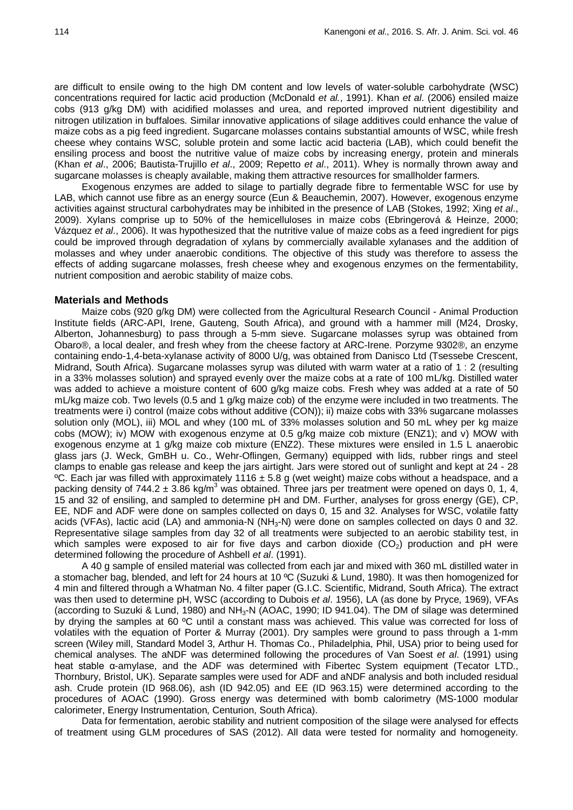are difficult to ensile owing to the high DM content and low levels of water-soluble carbohydrate (WSC) concentrations required for lactic acid production (McDonald *et al.*, 1991). Khan *et al*. (2006) ensiled maize cobs (913 g/kg DM) with acidified molasses and urea, and reported improved nutrient digestibility and nitrogen utilization in buffaloes. Similar innovative applications of silage additives could enhance the value of maize cobs as a pig feed ingredient. Sugarcane molasses contains substantial amounts of WSC, while fresh cheese whey contains WSC, soluble protein and some lactic acid bacteria (LAB), which could benefit the ensiling process and boost the nutritive value of maize cobs by increasing energy, protein and minerals (Khan *et al*., 2006; Bautista-Trujillo *et al*., 2009; Repetto *et al*., 2011). Whey is normally thrown away and sugarcane molasses is cheaply available, making them attractive resources for smallholder farmers.

Exogenous enzymes are added to silage to partially degrade fibre to fermentable WSC for use by LAB, which cannot use fibre as an energy source (Eun & Beauchemin, 2007). However, exogenous enzyme activities against structural carbohydrates may be inhibited in the presence of LAB (Stokes, 1992; Xing *et al*., 2009). Xylans comprise up to 50% of the hemicelluloses in maize cobs (Ebringerová & Heinze, 2000; Vázquez *et al*., 2006). It was hypothesized that the nutritive value of maize cobs as a feed ingredient for pigs could be improved through degradation of xylans by commercially available xylanases and the addition of molasses and whey under anaerobic conditions. The objective of this study was therefore to assess the effects of adding sugarcane molasses, fresh cheese whey and exogenous enzymes on the fermentability, nutrient composition and aerobic stability of maize cobs.

## **Materials and Methods**

Maize cobs (920 g/kg DM) were collected from the Agricultural Research Council - Animal Production Institute fields (ARC-API, Irene, Gauteng, South Africa), and ground with a hammer mill (M24, Drosky, Alberton, Johannesburg) to pass through a 5-mm sieve. Sugarcane molasses syrup was obtained from Obaro®, a local dealer, and fresh whey from the cheese factory at ARC-Irene. Porzyme 9302®, an enzyme containing endo-1,4-beta-xylanase activity of 8000 U/g, was obtained from Danisco Ltd (Tsessebe Crescent, Midrand, South Africa). Sugarcane molasses syrup was diluted with warm water at a ratio of 1 : 2 (resulting in a 33% molasses solution) and sprayed evenly over the maize cobs at a rate of 100 mL/kg. Distilled water was added to achieve a moisture content of 600 g/kg maize cobs. Fresh whey was added at a rate of 50 mL/kg maize cob. Two levels (0.5 and 1 g/kg maize cob) of the enzyme were included in two treatments. The treatments were i) control (maize cobs without additive (CON)); ii) maize cobs with 33% sugarcane molasses solution only (MOL), iii) MOL and whey (100 mL of 33% molasses solution and 50 mL whey per kg maize cobs (MOW); iv) MOW with exogenous enzyme at 0.5 g/kg maize cob mixture (ENZ1); and v) MOW with exogenous enzyme at 1 g/kg maize cob mixture (ENZ2). These mixtures were ensiled in 1.5 L anaerobic glass jars (J. Weck, GmBH u. Co., Wehr-Oflingen, Germany) equipped with lids, rubber rings and steel clamps to enable gas release and keep the jars airtight. Jars were stored out of sunlight and kept at 24 - 28  $°C$ . Each jar was filled with approximately 1116  $\pm$  5.8 g (wet weight) maize cobs without a headspace, and a packing density of 744.2  $\pm$  3.86 kg/m<sup>3</sup> was obtained. Three jars per treatment were opened on days 0, 1, 4, 15 and 32 of ensiling, and sampled to determine pH and DM. Further, analyses for gross energy (GE), CP, EE, NDF and ADF were done on samples collected on days 0, 15 and 32. Analyses for WSC, volatile fatty acids (VFAs), lactic acid (LA) and ammonia-N (NH<sub>3</sub>-N) were done on samples collected on days 0 and 32. Representative silage samples from day 32 of all treatments were subjected to an aerobic stability test, in which samples were exposed to air for five days and carbon dioxide  $(CO<sub>2</sub>)$  production and pH were determined following the procedure of Ashbell *et al*. (1991).

A 40 g sample of ensiled material was collected from each jar and mixed with 360 mL distilled water in a stomacher bag, blended, and left for 24 hours at 10 ºC (Suzuki & Lund, 1980). It was then homogenized for 4 min and filtered through a Whatman No. 4 filter paper (G.I.C. Scientific, Midrand, South Africa). The extract was then used to determine pH, WSC (according to Dubois *et al*. 1956), LA (as done by Pryce, 1969), VFAs (according to Suzuki & Lund, 1980) and NH<sub>3</sub>-N (AOAC, 1990; ID 941.04). The DM of silage was determined by drying the samples at 60 ºC until a constant mass was achieved. This value was corrected for loss of volatiles with the equation of Porter & Murray (2001). Dry samples were ground to pass through a 1-mm screen (Wiley mill, Standard Model 3, Arthur H. Thomas Co., Philadelphia, Phil, USA) prior to being used for chemical analyses. The aNDF was determined following the procedures of Van Soest *et al*. (1991) using heat stable α-amylase, and the ADF was determined with Fibertec System equipment (Tecator LTD., Thornbury, Bristol, UK). Separate samples were used for ADF and aNDF analysis and both included residual ash. Crude protein (ID 968.06), ash (ID 942.05) and EE (ID 963.15) were determined according to the procedures of AOAC (1990). Gross energy was determined with bomb calorimetry (MS-1000 modular calorimeter, Energy Instrumentation, Centurion, South Africa).

Data for fermentation, aerobic stability and nutrient composition of the silage were analysed for effects of treatment using GLM procedures of SAS (2012). All data were tested for normality and homogeneity.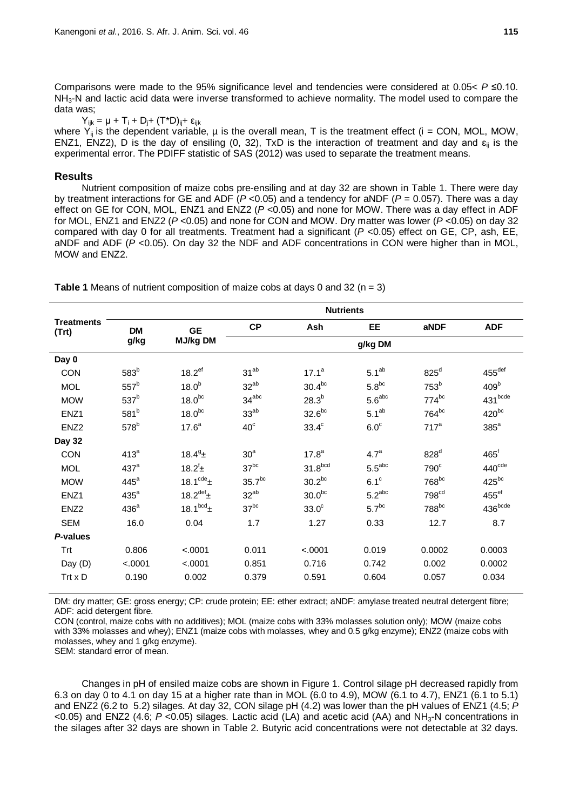Comparisons were made to the 95% significance level and tendencies were considered at 0.05< *P* ≤0.10. NH<sub>3</sub>-N and lactic acid data were inverse transformed to achieve normality. The model used to compare the data was;

 $Y_{ijk} = \mu + T_i + D_j + (T^*D)_{ij} + \epsilon_{ijk}$ 

where  $\dot{Y}_{ii}$  is the dependent variable,  $\mu$  is the overall mean, T is the treatment effect (i = CON, MOL, MOW, ENZ1, ENZ2), D is the day of ensiling (0, 32), TxD is the interaction of treatment and day and  $\varepsilon_{ii}$  is the experimental error. The PDIFF statistic of SAS (2012) was used to separate the treatment means.

#### **Results**

Nutrient composition of maize cobs pre-ensiling and at day 32 are shown in Table 1. There were day by treatment interactions for GE and ADF (*P* <0.05) and a tendency for aNDF (*P* = 0.057). There was a day effect on GE for CON, MOL, ENZ1 and ENZ2 (P < 0.05) and none for MOW. There was a day effect in ADF for MOL, ENZ1 and ENZ2 (*P* <0.05) and none for CON and MOW. Dry matter was lower (*P* <0.05) on day 32 compared with day 0 for all treatments. Treatment had a significant (*P* <0.05) effect on GE, CP, ash, EE, aNDF and ADF (*P* <0.05). On day 32 the NDF and ADF concentrations in CON were higher than in MOL, MOW and ENZ2.

**Treatments (Trt) Nutrients DM g/kg GE MJ/kg DM CP Ash EE aNDF ADF g/kg DM Day 0**  $\textsf{CON} \textsf{583}^{\textsf{b}} \textsf{618.2}^{\textsf{ef}} \textsf{731}^{\textsf{ab}} \textsf{717.1}^{\textsf{a}} \textsf{751}^{\textsf{ab}} \textsf{825}^{\textsf{d}} \textsf{825}^{\textsf{c}} \textsf{731.1}^{\textsf{c}} \textsf{831.1}^{\textsf{c}} \textsf{8455}^{\textsf{c}} \textsf{856}^{\textsf{c}} \textsf{861.1}^{\textsf{c}} \textsf{871.1}^{\textsf{c}} \textsf{88$  $\mathsf{MOL} \hspace{15pt} 557^{\mathsf{b}}$  18.0 $^{\mathsf{b}}$  32 $^{\mathsf{ab}}$  30.4 $^{\mathsf{bc}}$  5.8 $^{\mathsf{bc}}$  753 $^{\mathsf{b}}$  409 $^{\mathsf{b}}$  ${\rm MOW} \qquad \qquad 537^{\rm b} \qquad \qquad 18.0^{\rm bc} \qquad \qquad 34^{\rm abc} \qquad \qquad 28.3^{\rm b} \qquad \qquad 5.6^{\rm abc} \qquad \qquad 774^{\rm bc} \qquad \qquad 431^{\rm bcde}$  $\textrm{ENZ1} \hspace{1.55cm} 581^{\textrm{b}} \hspace{1.5cm} 18.0^{\textrm{bc}} \hspace{1.5cm} 33^{\textrm{ab}} \hspace{1.5cm} 33^{\textrm{ab}} \hspace{1.5cm} 32.6^{\textrm{bc}} \hspace{1.5cm} 5.1^{\textrm{ab}} \hspace{1.5cm} 764^{\textrm{bc}} \hspace{1.5cm} 420^{\textrm{bc}}$  $ENZ2$  578 $^{b}$  17.6<sup>a</sup> 40<sup>c</sup> 33.4<sup>c</sup> 6.0<sup>c</sup> 717<sup>a</sup> 385<sup>a</sup> **Day 32** CON  $413^a$   $18.4^g$  $\frac{1}{2}$  30<sup>a</sup> 17.8<sup>a</sup> 4.7<sup>a</sup> 828<sup>d</sup> 465<sup>t</sup> MOL  $437^a$  18.2<sup>f</sup> ±  $\texttt{\^{i}}_{\texttt{\tiny{+}}} \qquad \qquad 37^\text{bc} \qquad \qquad 31.8^\text{bcd} \qquad \qquad 5.5^\text{abc} \qquad \qquad 790^\text{c} \qquad \qquad 440^\text{cde}$  ${\rm MOW}$  445 $^{\rm a}$  18.1 $^{\rm cde}$ ± 35.7 $^{\rm bc}$  30.2 $^{\rm bc}$  6.1 $^{\rm c}$  768 $^{\rm bc}$  425 $^{\rm bc}$  $\textrm{ENZ1} \hspace{1.55cm} 435^{\textrm{a}} \hspace{1.5cm} 18.2^{\textrm{def}} \pm \hspace{1.5cm} 32^{\textrm{ab}} \hspace{1.5cm} 30.0^{\textrm{bc}} \hspace{1.5cm} 5.2^{\textrm{abc}} \hspace{1.5cm} 798^{\textrm{cd}} \hspace{1.5cm} 455^{\textrm{el}}$  $ENZ2$   $436^{\mathrm{a}}$   $18.1^{\mathrm{bcd}}$ ±  $37^{\mathrm{bc}}$   $33.0^{\mathrm{c}}$   $5.7^{\mathrm{bc}}$   $788^{\mathrm{bc}}$   $436^{\mathrm{bcde}}$ SEM 16.0 0.04 1.7 1.27 0.33 12.7 8.7 *P***-values** Trt 0.806 <.0001 0.011 <.0001 0.019 0.0002 0.0003 Day (D) <.0001 <.0001 0.851 0.716 0.742 0.002 0.0002 Trt x D 0.190 0.002 0.379 0.591 0.604 0.057 0.034

**Table 1** Means of nutrient composition of maize cobs at days 0 and 32 (n = 3)

DM: dry matter; GE: gross energy; CP: crude protein; EE: ether extract; aNDF: amylase treated neutral detergent fibre; ADF: acid detergent fibre.

CON (control, maize cobs with no additives); MOL (maize cobs with 33% molasses solution only); MOW (maize cobs with 33% molasses and whey); ENZ1 (maize cobs with molasses, whey and 0.5 g/kg enzyme); ENZ2 (maize cobs with molasses, whey and 1 g/kg enzyme).

SEM: standard error of mean.

Changes in pH of ensiled maize cobs are shown in Figure 1. Control silage pH decreased rapidly from 6.3 on day 0 to 4.1 on day 15 at a higher rate than in MOL (6.0 to 4.9), MOW (6.1 to 4.7), ENZ1 (6.1 to 5.1) and ENZ2 (6.2 to 5.2) silages. At day 32, CON silage pH (4.2) was lower than the pH values of ENZ1 (4.5; *P* <0.05) and ENZ2 (4.6; *P* <0.05) silages. Lactic acid (LA) and acetic acid (AA) and NH<sub>3</sub>-N concentrations in the silages after 32 days are shown in Table 2. Butyric acid concentrations were not detectable at 32 days.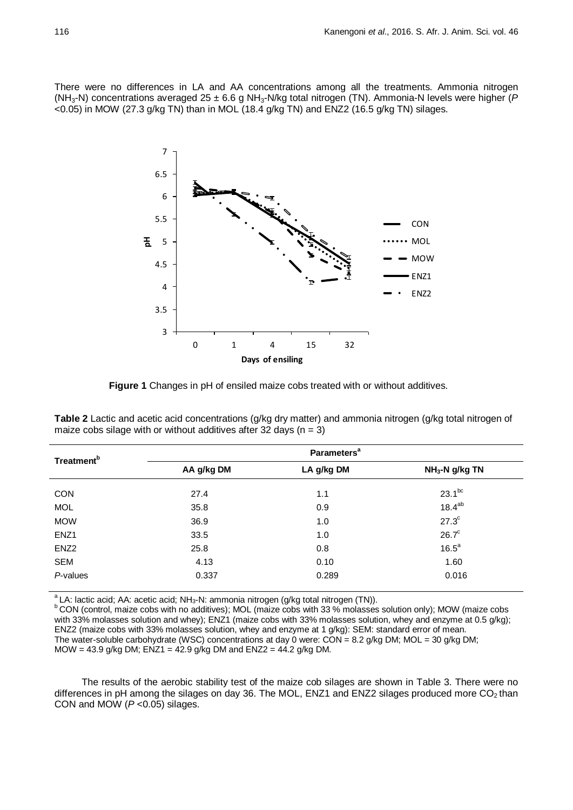There were no differences in LA and AA concentrations among all the treatments. Ammonia nitrogen (NH3-N) concentrations averaged 25 ± 6.6 g NH3-N/kg total nitrogen (TN). Ammonia-N levels were higher (*P* <0.05) in MOW (27.3 g/kg TN) than in MOL (18.4 g/kg TN) and ENZ2 (16.5 g/kg TN) silages.



**Figure 1** Changes in pH of ensiled maize cobs treated with or without additives.

**Table 2** Lactic and acetic acid concentrations (g/kg dry matter) and ammonia nitrogen (g/kg total nitrogen of maize cobs silage with or without additives after 32 days ( $n = 3$ )

| Treatment <sup>b</sup> | <b>Parameters<sup>a</sup></b> |            |                 |
|------------------------|-------------------------------|------------|-----------------|
|                        | AA g/kg DM                    | LA g/kg DM | $NH3-N g/kg TN$ |
| <b>CON</b>             | 27.4                          | 1.1        | $23.1^{bc}$     |
| <b>MOL</b>             | 35.8                          | 0.9        | $18.4^{ab}$     |
| <b>MOW</b>             | 36.9                          | 1.0        | $27.3^{\circ}$  |
| ENZ <sub>1</sub>       | 33.5                          | 1.0        | $26.7^{\circ}$  |
| ENZ <sub>2</sub>       | 25.8                          | 0.8        | $16.5^a$        |
| SEM                    | 4.13                          | 0.10       | 1.60            |
| P-values               | 0.337                         | 0.289      | 0.016           |

 $a^2$ LA: lactic acid; AA: acetic acid; NH<sub>3</sub>-N: ammonia nitrogen (g/kg total nitrogen (TN)).<br> **CON (control, maize cobs with no additives)**; MOL (maize cobs with 33 % molasses solution only); MOW (maize cobs with 33% molasses solution and whey); ENZ1 (maize cobs with 33% molasses solution, whey and enzyme at 0.5 g/kg); ENZ2 (maize cobs with 33% molasses solution, whey and enzyme at 1 g/kg): SEM: standard error of mean. The water-soluble carbohydrate (WSC) concentrations at day 0 were:  $COM = 8.2$  g/kg DM; MOL = 30 g/kg DM; MOW = 43.9 g/kg DM;  $ENZ1 = 42.9$  g/kg DM and  $ENZ2 = 44.2$  g/kg DM.

The results of the aerobic stability test of the maize cob silages are shown in Table 3. There were no differences in pH among the silages on day 36. The MOL, ENZ1 and ENZ2 silages produced more  $CO<sub>2</sub>$  than CON and MOW (*P* <0.05) silages.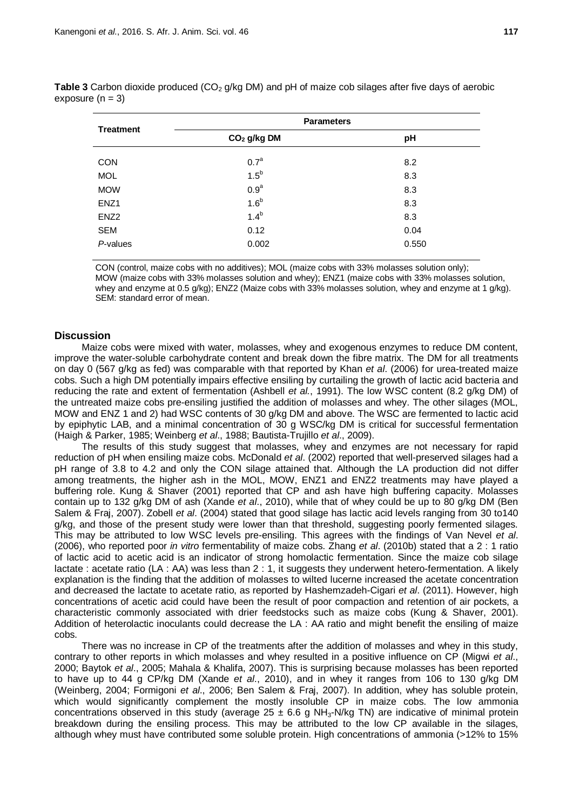| <b>Treatment</b> | <b>Parameters</b> |       |
|------------------|-------------------|-------|
|                  | $CO2$ g/kg DM     | pH    |
| <b>CON</b>       | 0.7 <sup>a</sup>  | 8.2   |
| <b>MOL</b>       | $1.5^b$           | 8.3   |
| <b>MOW</b>       | 0.9 <sup>a</sup>  | 8.3   |
| ENZ <sub>1</sub> | 1.6 <sup>b</sup>  | 8.3   |
| ENZ <sub>2</sub> | $1.4^{b}$         | 8.3   |
| SEM              | 0.12              | 0.04  |
| P-values         | 0.002             | 0.550 |

**Table 3** Carbon dioxide produced (CO<sub>2</sub> g/kg DM) and pH of maize cob silages after five days of aerobic exposure  $(n = 3)$ 

CON (control, maize cobs with no additives); MOL (maize cobs with 33% molasses solution only); MOW (maize cobs with 33% molasses solution and whey); ENZ1 (maize cobs with 33% molasses solution, whey and enzyme at 0.5 g/kg); ENZ2 (Maize cobs with 33% molasses solution, whey and enzyme at 1 g/kg). SEM: standard error of mean.

## **Discussion**

Maize cobs were mixed with water, molasses, whey and exogenous enzymes to reduce DM content, improve the water-soluble carbohydrate content and break down the fibre matrix. The DM for all treatments on day 0 (567 g/kg as fed) was comparable with that reported by Khan *et al*. (2006) for urea-treated maize cobs. Such a high DM potentially impairs effective ensiling by curtailing the growth of lactic acid bacteria and reducing the rate and extent of fermentation (Ashbell *et al.*, 1991). The low WSC content (8.2 g/kg DM) of the untreated maize cobs pre-ensiling justified the addition of molasses and whey. The other silages (MOL, MOW and ENZ 1 and 2) had WSC contents of 30 g/kg DM and above. The WSC are fermented to lactic acid by epiphytic LAB, and a minimal concentration of 30 g WSC/kg DM is critical for successful fermentation (Haigh & Parker, 1985; Weinberg *et al*., 1988; Bautista-Trujillo *et al*., 2009).

The results of this study suggest that molasses, whey and enzymes are not necessary for rapid reduction of pH when ensiling maize cobs. McDonald *et al*. (2002) reported that well-preserved silages had a pH range of 3.8 to 4.2 and only the CON silage attained that. Although the LA production did not differ among treatments, the higher ash in the MOL, MOW, ENZ1 and ENZ2 treatments may have played a buffering role. Kung & Shaver (2001) reported that CP and ash have high buffering capacity. Molasses contain up to 132 g/kg DM of ash (Xande *et al*., 2010), while that of whey could be up to 80 g/kg DM (Ben Salem & Fraj, 2007). Zobell *et al*. (2004) stated that good silage has lactic acid levels ranging from 30 to140 g/kg, and those of the present study were lower than that threshold, suggesting poorly fermented silages. This may be attributed to low WSC levels pre-ensiling. This agrees with the findings of Van Nevel *et al*. (2006), who reported poor *in vitro* fermentability of maize cobs. Zhang *et al*. (2010b) stated that a 2 : 1 ratio of lactic acid to acetic acid is an indicator of strong homolactic fermentation. Since the maize cob silage lactate : acetate ratio (LA : AA) was less than 2 : 1, it suggests they underwent hetero-fermentation. A likely explanation is the finding that the addition of molasses to wilted lucerne increased the acetate concentration and decreased the lactate to acetate ratio, as reported by Hashemzadeh-Cigari *et al*. (2011). However, high concentrations of acetic acid could have been the result of poor compaction and retention of air pockets, a characteristic commonly associated with drier feedstocks such as maize cobs (Kung & Shaver, 2001). Addition of heterolactic inoculants could decrease the LA : AA ratio and might benefit the ensiling of maize cobs.

There was no increase in CP of the treatments after the addition of molasses and whey in this study, contrary to other reports in which molasses and whey resulted in a positive influence on CP (Migwi *et al*., 2000; Baytok *et al*., 2005; Mahala & Khalifa, 2007). This is surprising because molasses has been reported to have up to 44 g CP/kg DM (Xande *et al*., 2010), and in whey it ranges from 106 to 130 g/kg DM (Weinberg, 2004; Formigoni *et al*., 2006; Ben Salem & Fraj, 2007). In addition, whey has soluble protein, which would significantly complement the mostly insoluble CP in maize cobs. The low ammonia concentrations observed in this study (average  $25 \pm 6.6$  g NH<sub>3</sub>-N/kg TN) are indicative of minimal protein breakdown during the ensiling process. This may be attributed to the low CP available in the silages, although whey must have contributed some soluble protein. High concentrations of ammonia (>12% to 15%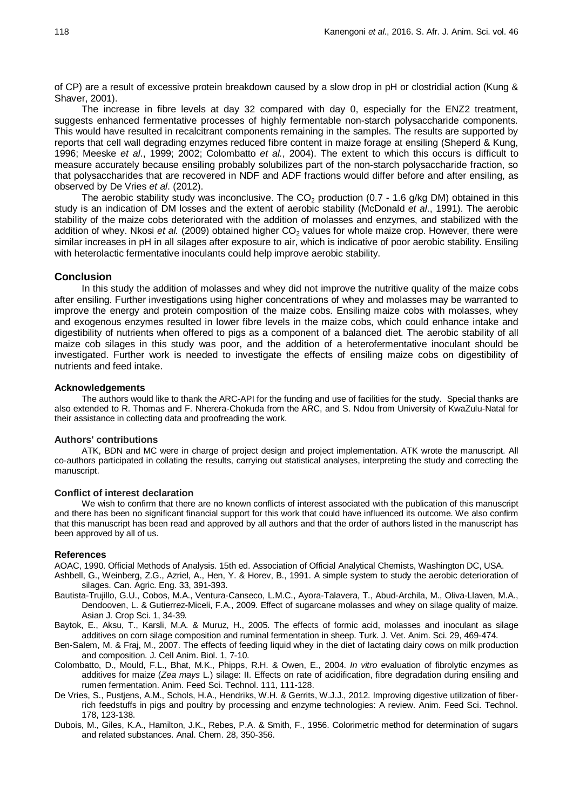of CP) are a result of excessive protein breakdown caused by a slow drop in pH or clostridial action (Kung & Shaver, 2001).

The increase in fibre levels at day 32 compared with day 0, especially for the ENZ2 treatment, suggests enhanced fermentative processes of highly fermentable non-starch polysaccharide components. This would have resulted in recalcitrant components remaining in the samples. The results are supported by reports that cell wall degrading enzymes reduced fibre content in maize forage at ensiling (Sheperd & Kung, 1996; Meeske *et al*., 1999; 2002; Colombatto *et al.*, 2004). The extent to which this occurs is difficult to measure accurately because ensiling probably solubilizes part of the non-starch polysaccharide fraction, so that polysaccharides that are recovered in NDF and ADF fractions would differ before and after ensiling, as observed by De Vries *et al*. (2012).

The aerobic stability study was inconclusive. The  $CO<sub>2</sub>$  production (0.7 - 1.6 g/kg DM) obtained in this study is an indication of DM losses and the extent of aerobic stability (McDonald *et al*., 1991). The aerobic stability of the maize cobs deteriorated with the addition of molasses and enzymes, and stabilized with the addition of whey. Nkosi et al. (2009) obtained higher CO<sub>2</sub> values for whole maize crop. However, there were similar increases in pH in all silages after exposure to air, which is indicative of poor aerobic stability. Ensiling with heterolactic fermentative inoculants could help improve aerobic stability.

## **Conclusion**

In this study the addition of molasses and whey did not improve the nutritive quality of the maize cobs after ensiling. Further investigations using higher concentrations of whey and molasses may be warranted to improve the energy and protein composition of the maize cobs. Ensiling maize cobs with molasses, whey and exogenous enzymes resulted in lower fibre levels in the maize cobs, which could enhance intake and digestibility of nutrients when offered to pigs as a component of a balanced diet. The aerobic stability of all maize cob silages in this study was poor, and the addition of a heterofermentative inoculant should be investigated. Further work is needed to investigate the effects of ensiling maize cobs on digestibility of nutrients and feed intake.

#### **Acknowledgements**

The authors would like to thank the ARC-API for the funding and use of facilities for the study. Special thanks are also extended to R. Thomas and F. Nherera-Chokuda from the ARC, and S. Ndou from University of KwaZulu-Natal for their assistance in collecting data and proofreading the work.

#### **Authors' contributions**

ATK, BDN and MC were in charge of project design and project implementation. ATK wrote the manuscript. All co-authors participated in collating the results, carrying out statistical analyses, interpreting the study and correcting the manuscript.

#### **Conflict of interest declaration**

We wish to confirm that there are no known conflicts of interest associated with the publication of this manuscript and there has been no significant financial support for this work that could have influenced its outcome. We also confirm that this manuscript has been read and approved by all authors and that the order of authors listed in the manuscript has been approved by all of us.

#### **References**

AOAC, 1990. Official Methods of Analysis. 15th ed. Association of Official Analytical Chemists, Washington DC, USA.

- Ashbell, G., Weinberg, Z.G., Azriel, A., Hen, Y. & Horev, B., 1991. A simple system to study the aerobic deterioration of silages. Can. Agric. Eng. 33, 391-393.
- Bautista-Trujillo, G.U., Cobos, M.A., Ventura-Canseco, L.M.C., Ayora-Talavera, T., Abud-Archila, M., Oliva-Llaven, M.A., Dendooven, L. & Gutierrez-Miceli, F.A., 2009. Effect of sugarcane molasses and whey on silage quality of maize. Asian J. Crop Sci. 1, 34-39*.*
- Baytok, E., Aksu, T., Karsli, M.A. & Muruz, H., 2005. The effects of formic acid, molasses and inoculant as silage additives on corn silage composition and ruminal fermentation in sheep. Turk. J. Vet. Anim. Sci. 29, 469-474.
- Ben-Salem, M. & Fraj, M., 2007. The effects of feeding liquid whey in the diet of lactating dairy cows on milk production and composition. J. Cell Anim. Biol. 1, 7-10.
- Colombatto, D., Mould, F.L., Bhat, M.K., Phipps, R.H. & Owen, E., 2004. *In vitro* evaluation of fibrolytic enzymes as additives for maize (*Zea mays* L*.*) silage: II. Effects on rate of acidification, fibre degradation during ensiling and rumen fermentation. Anim. Feed Sci. Technol. 111, 111-128.
- De Vries, S., Pustjens, A.M., Schols, H.A., Hendriks, W.H. & Gerrits, W.J.J., 2012. Improving digestive utilization of fiberrich feedstuffs in pigs and poultry by processing and enzyme technologies: A review. Anim. Feed Sci. Technol. 178, 123-138.
- Dubois, M., Giles, K.A., Hamilton, J.K., Rebes, P.A. & Smith, F., 1956. Colorimetric method for determination of sugars and related substances. Anal. Chem. 28, 350-356.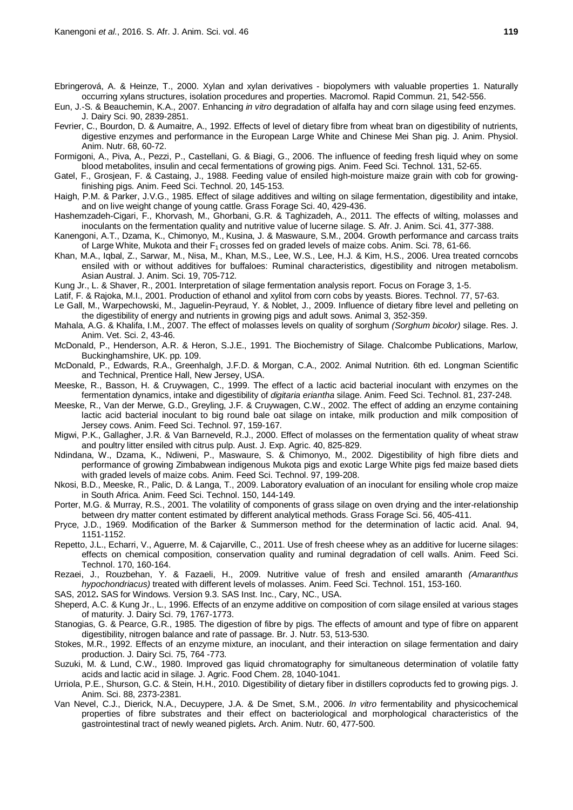Ebringerová, A. & Heinze, T., 2000. Xylan and xylan derivatives - biopolymers with valuable properties 1. Naturally occurring xylans structures, isolation procedures and properties. Macromol. Rapid Commun. 21, 542-556.

Eun, J.-S. & Beauchemin, K.A., 2007. Enhancing *in vitro* degradation of alfalfa hay and corn silage using feed enzymes. J. Dairy Sci. 90, 2839-2851.

Fevrier, C., Bourdon, D. & Aumaitre, A., 1992. Effects of level of dietary fibre from wheat bran on digestibility of nutrients, digestive enzymes and performance in the European Large White and Chinese Mei Shan pig. J. Anim. Physiol. Anim. Nutr. 68, 60-72.

Formigoni, A., Piva, A., Pezzi, P., Castellani, G. & Biagi, G., 2006. The influence of feeding fresh liquid whey on some blood metabolites, insulin and cecal fermentations of growing pigs. Anim. Feed Sci. Technol. 131, 52-65.

Gatel, F., Grosjean, F. & Castaing, J., 1988. Feeding value of ensiled high-moisture maize grain with cob for growingfinishing pigs. Anim. Feed Sci. Technol. 20, 145-153.

Haigh, P.M. & Parker, J.V.G., 1985. Effect of silage additives and wilting on silage fermentation, digestibility and intake, and on live weight change of young cattle. Grass Forage Sci. 40, 429-436.

- Hashemzadeh-Cigari, F., Khorvash, M., Ghorbani, G.R. & Taghizadeh, A., 2011. The effects of wilting, molasses and inoculants on the fermentation quality and nutritive value of lucerne silage. S. Afr. J. Anim. Sci. 41, 377-388.
- Kanengoni, A.T., Dzama, K., Chimonyo, M., Kusina, J. & Maswaure, S.M., 2004. Growth performance and carcass traits of Large White, Mukota and their  $F_1$  crosses fed on graded levels of maize cobs. Anim. Sci. 78, 61-66.
- Khan, M.A., Iqbal, Z., Sarwar, M., Nisa, M., Khan, M.S., Lee, W.S., Lee, H.J. & Kim, H.S., 2006. Urea treated corncobs ensiled with or without additives for buffaloes: Ruminal characteristics, digestibility and nitrogen metabolism. Asian Austral. J. Anim. Sci. 19, 705-712.
- Kung Jr., L. & Shaver, R., 2001. Interpretation of silage fermentation analysis report. Focus on Forage 3, 1-5.
- Latif, F. & Rajoka, M.I., 2001. Production of ethanol and xylitol from corn cobs by yeasts. Biores. Technol. 77, 57-63.
- Le Gall, M., Warpechowski, M., Jaguelin-Peyraud, Y. & Noblet, J., 2009. Influence of dietary fibre level and pelleting on the digestibility of energy and nutrients in growing pigs and adult sows. Animal 3, 352-359.
- Mahala, A.G. & Khalifa, I.M., 2007. The effect of molasses levels on quality of sorghum *(Sorghum bicolor)* silage. Res. J. Anim. Vet. Sci. 2, 43-46.
- McDonald, P., Henderson, A.R. & Heron, S.J.E., 1991. The Biochemistry of Silage. Chalcombe Publications, Marlow, Buckinghamshire, UK. pp. 109.
- McDonald, P., Edwards, R.A., Greenhalgh, J.F.D. & Morgan, C.A., 2002. Animal Nutrition. 6th ed. Longman Scientific and Technical, Prentice Hall, New Jersey, USA.
- Meeske, R., Basson, H. & Cruywagen, C., 1999. The effect of a lactic acid bacterial inoculant with enzymes on the fermentation dynamics, intake and digestibility of *digitaria eriantha* silage. Anim. Feed Sci. Technol. 81, 237-248.
- Meeske, R., Van der Merwe, G.D., Greyling, J.F. & Cruywagen, C.W., 2002. The effect of adding an enzyme containing lactic acid bacterial inoculant to big round bale oat silage on intake, milk production and milk composition of Jersey cows. Anim. Feed Sci. Technol. 97, 159-167.
- Migwi, P.K., Gallagher, J.R. & Van Barneveld, R.J., 2000. Effect of molasses on the fermentation quality of wheat straw and poultry litter ensiled with citrus pulp. Aust. J. Exp. Agric. 40, 825-829.
- Ndindana, W., Dzama, K., Ndiweni, P., Maswaure, S. & Chimonyo, M., 2002. Digestibility of high fibre diets and performance of growing Zimbabwean indigenous Mukota pigs and exotic Large White pigs fed maize based diets with graded levels of maize cobs. Anim. Feed Sci. Technol. 97, 199-208.
- Nkosi, B.D., Meeske, R., Palic, D. & Langa, T., 2009. Laboratory evaluation of an inoculant for ensiling whole crop maize in South Africa. Anim. Feed Sci. Technol. 150, 144-149.
- Porter, M.G. & Murray, R.S., 2001. The volatility of components of grass silage on oven drying and the inter-relationship between dry matter content estimated by different analytical methods. Grass Forage Sci. 56, 405-411.
- Pryce, J.D., 1969. Modification of the Barker & Summerson method for the determination of lactic acid. Anal. 94, 1151-1152.
- Repetto, J.L., Echarri, V., Aguerre, M. & Cajarville, C., 2011. Use of fresh cheese whey as an additive for lucerne silages: effects on chemical composition, conservation quality and ruminal degradation of cell walls. Anim. Feed Sci. Technol. 170, 160-164.
- Rezaei, J., Rouzbehan, Y. & Fazaeli, H., 2009. Nutritive value of fresh and ensiled amaranth *(Amaranthus hypochondriacus)* treated with different levels of molasses. Anim. Feed Sci. Technol. 151, 153-160.
- SAS, 2012**.** SAS for Windows. Version 9.3. SAS Inst. Inc., Cary, NC., USA.
- Sheperd, A.C. & Kung Jr., L., 1996. Effects of an enzyme additive on composition of corn silage ensiled at various stages of maturity. J. Dairy Sci. 79, 1767-1773.
- Stanogias, G. & Pearce, G.R., 1985. The digestion of fibre by pigs. The effects of amount and type of fibre on apparent digestibility, nitrogen balance and rate of passage. Br. J. Nutr. 53, 513-530.
- Stokes, M.R., 1992. Effects of an enzyme mixture, an inoculant, and their interaction on silage fermentation and dairy production. J. Dairy Sci. 75, 764 -773.
- Suzuki, M. & Lund, C.W., 1980. Improved gas liquid chromatography for simultaneous determination of volatile fatty acids and lactic acid in silage. J. Agric. Food Chem. 28, 1040-1041.
- Urriola, P.E., Shurson, G.C. & Stein, H.H., 2010. Digestibility of dietary fiber in distillers coproducts fed to growing pigs. J. Anim. Sci. 88, 2373-2381.
- Van Nevel, C.J., Dierick, N.A., Decuypere, J.A. & De Smet, S.M., 2006. *In vitro* fermentability and physicochemical properties of fibre substrates and their effect on bacteriological and morphological characteristics of the gastrointestinal tract of newly weaned piglets**.** Arch. Anim. Nutr. 60, 477-500.